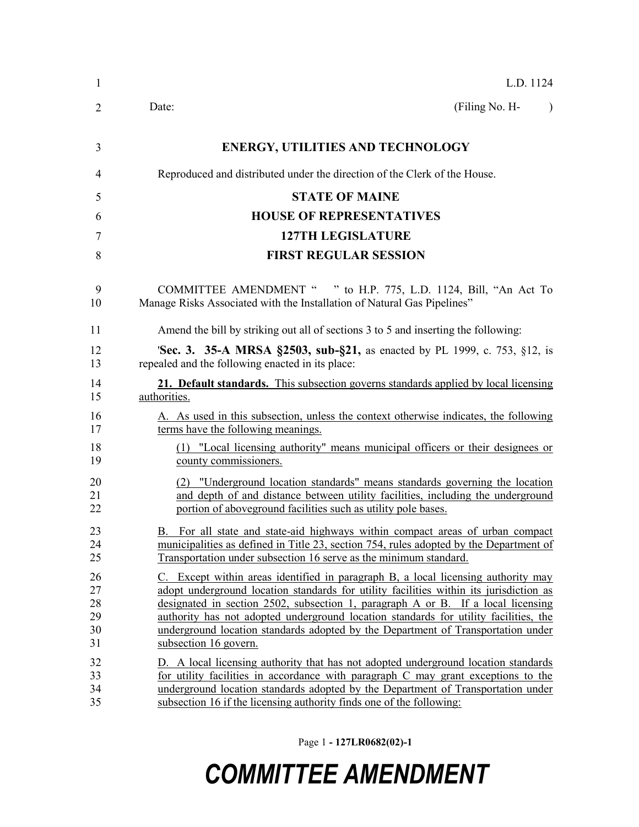| 1  | L.D. 1124                                                                              |
|----|----------------------------------------------------------------------------------------|
| 2  | (Filing No. H-<br>Date:<br>$\lambda$                                                   |
| 3  | <b>ENERGY, UTILITIES AND TECHNOLOGY</b>                                                |
| 4  | Reproduced and distributed under the direction of the Clerk of the House.              |
| 5  | <b>STATE OF MAINE</b>                                                                  |
| 6  | <b>HOUSE OF REPRESENTATIVES</b>                                                        |
| 7  | <b>127TH LEGISLATURE</b>                                                               |
| 8  | <b>FIRST REGULAR SESSION</b>                                                           |
| 9  | COMMITTEE AMENDMENT " " to H.P. 775, L.D. 1124, Bill, "An Act To                       |
| 10 | Manage Risks Associated with the Installation of Natural Gas Pipelines"                |
| 11 | Amend the bill by striking out all of sections 3 to 5 and inserting the following:     |
| 12 | 'Sec. 3. 35-A MRSA §2503, sub-§21, as enacted by PL 1999, c. 753, §12, is              |
| 13 | repealed and the following enacted in its place:                                       |
| 14 | 21. Default standards. This subsection governs standards applied by local licensing    |
| 15 | authorities.                                                                           |
| 16 | A. As used in this subsection, unless the context otherwise indicates, the following   |
| 17 | terms have the following meanings.                                                     |
| 18 | (1) "Local licensing authority" means municipal officers or their designees or         |
| 19 | county commissioners.                                                                  |
| 20 | (2) "Underground location standards" means standards governing the location            |
| 21 | and depth of and distance between utility facilities, including the underground        |
| 22 | portion of aboveground facilities such as utility pole bases.                          |
| 23 | B. For all state and state-aid highways within compact areas of urban compact          |
| 24 | municipalities as defined in Title 23, section 754, rules adopted by the Department of |
| 25 | Transportation under subsection 16 serve as the minimum standard.                      |
| 26 | C. Except within areas identified in paragraph B, a local licensing authority may      |
| 27 | adopt underground location standards for utility facilities within its jurisdiction as |
| 28 | designated in section 2502, subsection 1, paragraph A or B. If a local licensing       |
| 29 | authority has not adopted underground location standards for utility facilities, the   |
| 30 | underground location standards adopted by the Department of Transportation under       |
| 31 | subsection 16 govern.                                                                  |
| 32 | D. A local licensing authority that has not adopted underground location standards     |
| 33 | for utility facilities in accordance with paragraph C may grant exceptions to the      |
| 34 | underground location standards adopted by the Department of Transportation under       |
| 35 | subsection 16 if the licensing authority finds one of the following:                   |

Page 1 **- 127LR0682(02)-1**

## *COMMITTEE AMENDMENT*